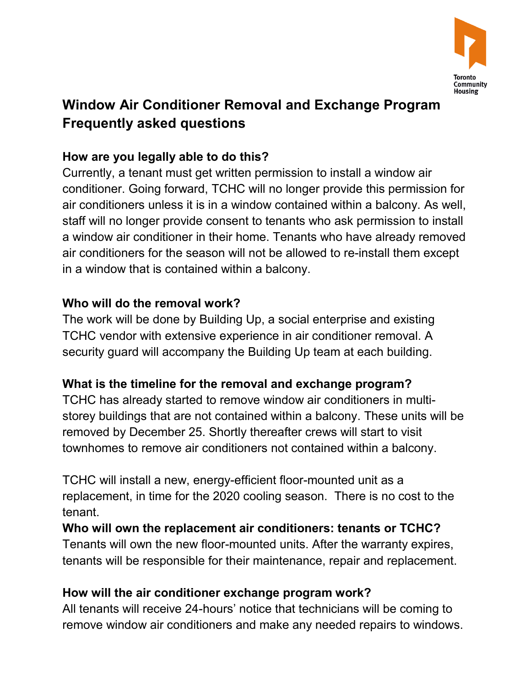

# **Window Air Conditioner Removal and Exchange Program Frequently asked questions**

## **How are you legally able to do this?**

 Currently, a tenant must get written permission to install a window air conditioner. Going forward, TCHC will no longer provide this permission for air conditioners unless it is in a window contained within a balcony. As well, staff will no longer provide consent to tenants who ask permission to install a window air conditioner in their home. Tenants who have already removed air conditioners for the season will not be allowed to re-install them except in a window that is contained within a balcony.

### **Who will do the removal work?**

 The work will be done by Building Up, a social enterprise and existing TCHC vendor with extensive experience in air conditioner removal. A security guard will accompany the Building Up team at each building.

### **What is the timeline for the removal and exchange program?**

TCHC has already started to remove window air conditioners in multistorey buildings that are not contained within a balcony. These units will be removed by December 25. Shortly thereafter crews will start to visit townhomes to remove air conditioners not contained within a balcony.

 TCHC will install a new, energy-efficient floor-mounted unit as a replacement, in time for the 2020 cooling season. There is no cost to the tenant.

 **Who will own the replacement air conditioners: tenants or TCHC?**  Tenants will own the new floor-mounted units. After the warranty expires, tenants will be responsible for their maintenance, repair and replacement.

#### **How will the air conditioner exchange program work?**

 All tenants will receive 24-hours' notice that technicians will be coming to remove window air conditioners and make any needed repairs to windows.